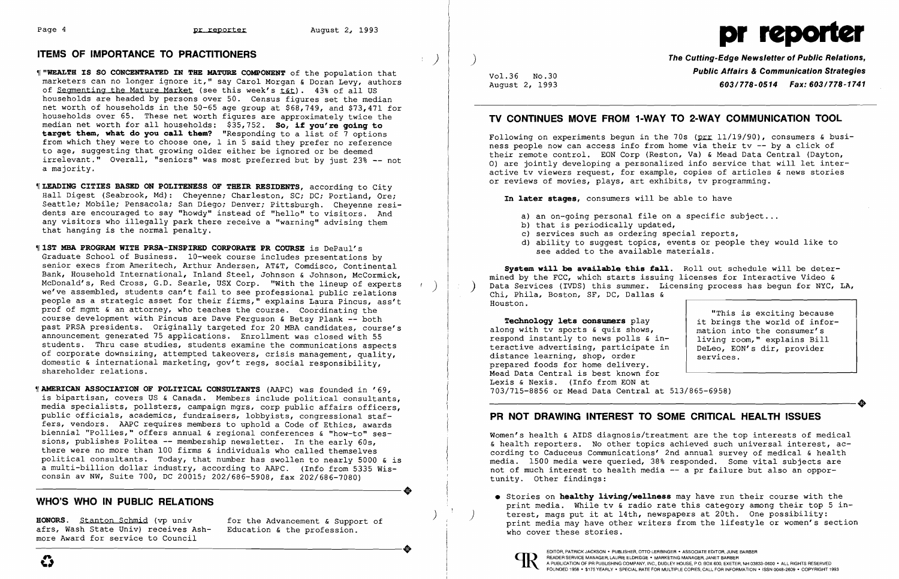## ITEMS OF IMPORTANCE TO PRACTITIONERS )

- $\parallel$  "WEALTH IS SO CONCENTRATED IN THE MATURE COMPONENT of the population that marketers can no longer ignore it," say Carol Morgan & Doran Levy, authors of Segmenting the Mature Market (see this week's  $\tt tot$ ). 43% of all US households are headed by persons over 50. Census figures set the median net worth of households in the 50-65 age group at \$68,749, and \$73,471 for households over 65. These net worth figures are approximately twice the median net worth for all households: \$35,752. So, if you're going to target them, what do you call them? "Responding to a list of 7 options from which they were to choose one, 1 in 5 said they prefer no reference to age, suggesting that growing older either be ignored or be deemed irrelevant." Overall, "seniors" was most preferred but by just 23% -- not a majority.
- ~[LEADING CITIES BASED ON POLITENESS OF THEIR RESIDENTS, according to City Hall Digest (Seabrook, Md): Cheyenne; Charleston, SC; DC; Portland, Ore; Seattle; Mobile; Pensacola; San Diego; Denver; Pittsburgh. Chevenne residents are encouraged to say "hoWdy" instead of "hello" to visitors. And any visitors who illegally park there receive a "warning" advising them that hanging is the normal penalty.
- $\parallel$  1ST MBA PROGRAM WITH PRSA-INSPIRED CORPORATE PR COURSE is DePaul's Graduate School of Business. 10-week course includes presentations by senior execs from Ameritech, Arthur Andersen, AT&T, Comdisco, Continental Bank, Household International, Inland Steel, Johnson & Johnson, McCormick,<br>McDonald's, Red Cross, G.D. Searle, USX Corp. "With the lineup of experts McDonald's, Red Cross, G.D. Searle, USX Corp. "With the lineup of experts (a) we've assembled, students can't fail to see professional public relations people as a strategic asset for their firms," explains Laura Pincus, ass't prof of mgmt & an attorney, who teaches the course. Coordinating the course development with Pincus are Dave Ferguson & Betsy Plank -- both past PRSA presidents. Originally targeted for 20 MBA candidates, course's announcement generated 75 applications. Enrollment was closed with 55 students. Thru case studies, students examine the communications aspects of corporate downsizing, attempted takeovers, crisis management, quality, domestic & international marketing, gov't regs, social responsibility, shareholder relations.
- **WAMERICAN ASSOCIATION OF POLITICAL CONSULTANTS** (AAPC) was founded in '69, is bipartisan, covers US & Canada. Members include political consultants, media specialists, pollsters, campaign mgrs, corp public affairs officers, public officials, academics, fundraisers, lobbyists, congressional staffers, vendors. AAPC requires members to uphold a Code of Ethics, awards biennial "Pollies," offers annual & regional conferences & "how-to" sessions, publishes Politea -- membership newsletter. In the early 60s, there were no more than 100 firms & individuals who called themselves political consultants. Today, that number has swollen to nearly 5000 & is political consultants. Today, that humber has swollen to hearly 5000 & is<br>a multi-billion dollar industry, according to AAPC. (Info from 5335 Wis-<br>consin av NW, Suite 700, DC 20015; 202/686-5908, fax 202/686-7080) consin av NW, Suite 700, DC 20015; 202/686-5908, fax 202/686-7080)

Following on experiments begun in the 70s (prr  $11/19/90$ ), consumers & business people now can access info from home via their tv -- by a click of their remote control. EON Corp (Reston, Va) & Mead Data Central (Dayton, 0) are jointly developing a personalized info service that will let interactive tv viewers request, for example, copies of articles & news stories or reviews of movies, plays, art exhibits, tv programming.

In later stages, consumers will be able to have

- a) an on-going personal file on a specific subject...
- b) that is periodically updated,
- c) services such as ordering special reports,
- 
- see added to the available materials.

Svstem will be available this fall. Roll out schedule will be determined by the FCC, which starts issuing licenses for Interactive Video & Data Services (IVDS) this summer. Licensing process has begun for NYC, LA, Chi, Phila, Boston, SF, DC, Dallas & Houston.

Technology lets consumers play along with tv sports & quiz shows, respond instantly to news polls & interactive advertising, participate in distance learning, shop, order prepared foods for home delivery. Mead Data Central is best known for Lexis & Nexis. (Info from EON at 703/715-8856 or Mead Data Central at 513/865-6958) Dexis & Nexis. (Info from EON at<br>
703/715-8856 or Mead Data Central at 513/865-6958)<br>
PR NOT DRAWING INTEREST TO SOME CRITICAL HEALTH ISSUES

• Stories on hea1thy 1iving/we11ness may have run their course with the print media. While tv & radio rate this category among their top 5 in-<br>terest, mags put it at 14th, newspapers at 20th. One possibility:

afrs, Wash State Univ) receives Ashmore Award for service to Council ----------------------+ EDITOR, PATRICK JACKSON· PUBLISHER, OTTO LERBINGER • ASSOCIATE EDITOR, JUNE BARBER

## WHO'S WHO IN PUBLIC RELATIONS

)

Vol. 36 No. 30 August 2, 1993 The Cutting-Edge Newsletter of Public Relations, Public Affairs & Communication Strategies *603/778-0514 Fax: 603/778-1741* 

## TV CONTINUES MOVE FROM 1·WAY TO 2·WAY COMMUNICATION TOOL

d) ability to suggest topics, events or people they would like to

"This is exciting because it brings the world of information into the consumer's living room," explains Bill DeLeo, EON's dir, provider services.

Women's health & AIDS diagnosis/treatment are the top interests of medical & health reporters. No other topics achieved such universal interest, according to Caduceus Communications' 2nd annual survey of medical & health media. 1500 media were queried, 38% responded. Some vital subjects are not of much interest to health media -- a pr failure but also an opportunity. Other findings:

HONORS. Stanton Schmid (vp univ for the Advancement & Support of the profession. The print media may have other writers from the lifestyle or women's section afrs, Wash State Univ) receives Ash- Education & the profession.



# Page 4 **pr reporter** August 2, 1993 **pr reporter** August 2, 1993